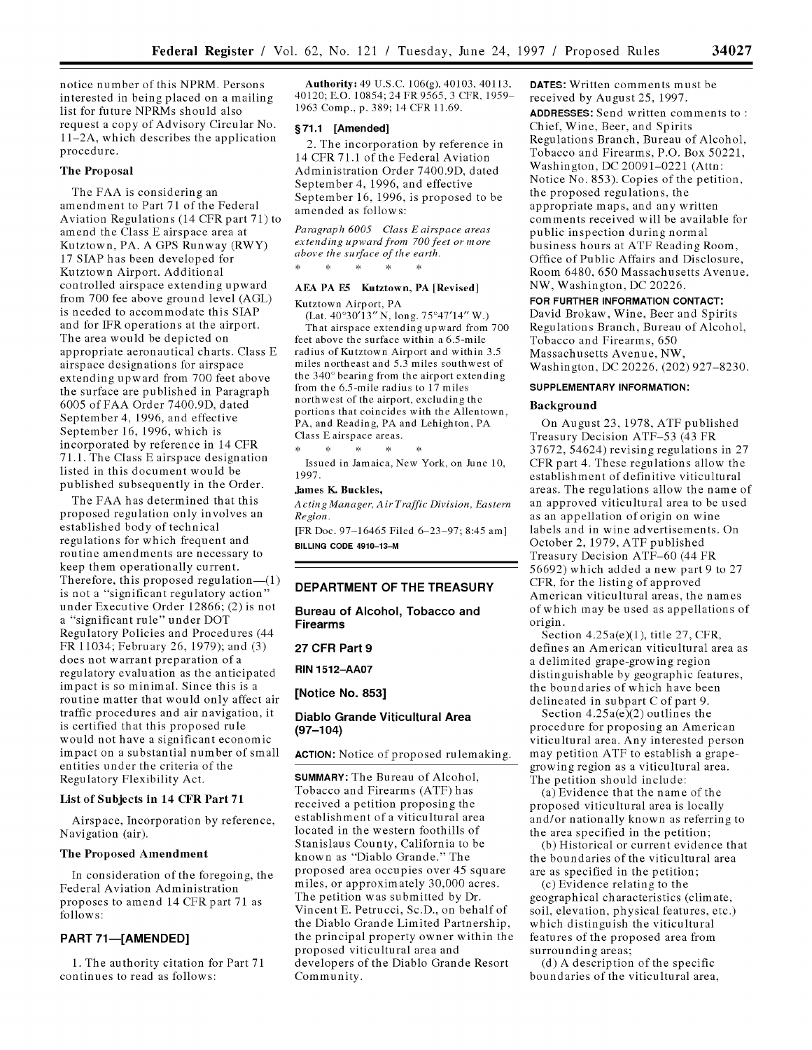notice number of this NPRM. Persons interested in being placed on a mailing list for future NPRMs should also request a copy of Advisory Circular No. 11-2A, which describes the application procedure.

### The Proposal

The **FAA** is considering an amendment to Part **71** of the Federal Aviation Regulations (14 CFR part **71)** to amend the Class **E** airspace area at Kutztown, PA. **A** GPS Runway (RWY) **17 SIAP** has been developed for Kutztown Airport. Additional controlled airspace extending upward from **700** fee above ground level **(AGL)** is needed to accommodate this **SIAP** and for **TFR** operations at the airport. **The** area would be depicted on appropriate aeronautical charts. Class **E** airspace designations for airspace extending upward from **700** feet above the surface are published in Paragraph 6005 of **FAA** Order 7400.9D, dated September 4, **1996,** and effective September **16, 1996,** which is incorporated **by** reference in 14 CFR **71.1. The** Class **E** airspace designation listed in this document would be published subsequently in the Order.

**The FAA** has determined that this proposed regulation only involves an established body of technical regulations for which frequent and routine amendments are necessary to keep them operationally current. Therefore, this proposed regulation $-(1)$ is not a "significant regulatory action" under Executive Order **12866;** (2) is not a "significant rule" under DOT Regulatory Policies and Procedures (44 FR 11034; February **26, 1979);** and **(3)** does not warrant preparation of a regulatory evaluation as the anticipated impact is so minimal. Since this is a routine matter that would only affect air traffic procedures and air navigation, it is certified that this proposed rule would not have a significant economic impact on a substantial number of small entities under the criteria of the Regulatory Flexibility Act.

# List of Subjects in 14 CFR Part **71**

Airspace, Incorporation **by** reference, Navigation (air).

#### The Proposed Amendment

In consideration of the foregoing, the Federal Aviation Administration proposes to amend 14 CFR part **71** as follows:

### **PART 71-[AMENDED]**

1. The authority citation for Part 71 continues to read as follows:

Authority: 49 U.S.C. 106(g), 40103, 40113, 40120; E.O. 10854; 24 FR 9565, 3 CFR, 1959 **1963** Comp., p. **389;** 14 CFR **11.69.**

#### **§71.1 [Amended]**

2. The incorporation by reference in 14 CFR 71.1 of the Federal Aviation Administration Order 7400.9D, dated September 4, 1996, and effective September 16, 1996, is proposed to be amended as follows:

*Paragraph 6005 Class E airspace areas extending upward from 700feet or more above the surface of the earth.*  $\star$  $\ast$  $\ast$ 

## **AEA** PA **E5** Kutztown, PA [Revised]

Kutztown Airport, PA

(Lat. 40'30'13" **N,** long. 75°47'14" W.) That airspace extending upward from **700** feet above the surface within a 6.5-mile radius of Kutztown Airport and within **3.5** miles northeast and **5.3** miles southwest of the 340' bearing from the airport extending from the 6.5-mile radius to **17** miles northwest of the airport, excluding the portions that coincides with the Allentown, PA, and Reading, PA and Lehighton, PA Class **E** airspace areas.

 $\star$  $\pm$  $\cdot$   $\cdot$ 

Issued in Jamaica, New York, on June **10, 1997.**

# **James** K. Buckles,

*Acting Manager, Air Traffic Division, Eastern Region.*

**[FR** Doc. **97 16465** Filed **6 23 97;** 8:45 am] **BILLING CODE 4910-13-M**

# **DEPARTMENT OF THE TREASURY**

**Bureau of Alcohol, Tobacco and Firearms**

# **27 CFR Part 9**

**RIN 1512-AA07**

**[Notice No. 853]**

## **Diablo Grande Viticultural Area (97-104)**

**ACTION:** Notice of proposed rulemaking.

**SUMMARY:** The Bureau of Alcohol, Tobacco and Firearms (ATF) has received a petition proposing the establishment of a viticultural area located in the western foothills of Stanislaus County, California to be known as "Diablo Grande." The proposed area occupies over 45 square miles, or approximately 30,000 acres. The petition was submitted by Dr. Vincent E. Petrucci, Sc.D., on behalf of the Diablo Grande Limited Partnership, the principal property owner within the proposed viticultural area and developers of the Diablo Grande Resort Community.

**DATES:** Written comments must be received by August 25, 1997.

**ADDRESSES:** Send written comments to Chief, Wine, Beer, and Spirits Regulations Branch, Bureau of Alcohol, Tobacco and Firearms, P.O. Box 50221, Washington, DC 20091-0221 (Attn: Notice No. 853). Copies of the petition, the proposed regulations, the appropriate maps, and any written comments received will be available for public inspection during normal business hours at ATF Reading Room, Office of Public Affairs and Disclosure, Room 6480, 650 Massachusetts Avenue, NW, Washington, DC 20226.

**FOR FURTHER INFORMATION CONTACT:** David Brokaw, Wine, Beer and Spirits Regulations Branch, Bureau of Alcohol, Tobacco and Firearms, 650 Massachusetts Avenue, NW, Washington, DC 20226, (202) 927-8230.

### **SUPPLEMENTARY INFORMATION:**

#### **Background**

On August **23, 1978, ATF** published Treasury Decision **ATF-53** (43 FR **37672,** 54624) revising regulations in **27** CFR part 4. These regulations allow the establishment of definitive viticultural areas. The regulations allow the name **of** an approved viticultural area to be used as an appellation of origin on wine labels and in wine advertisements. On October 2, **1979, ATF** published Treasury Decision **ATF-60** (44 FR **56692)** which added a new part **9** to **27** CFR, for the listing of approved American viticultural areas, the names of which may be used as appellations of origin.

Section 4.25a(e)(1), title **27,** CFR, defines an American viticultural area as a delimited grape-growing region distinguishable **by** geographic features, the boundaries of which have been delineated in subpart C of part **9.**

Section 4.25a(e)(2) outlines the procedure for proposing an American viticultural area. Any interested person may petition **ATF** to establish a grapegrowing region as a viticultural area. The petition should include:

(a) Evidence that the name of the proposed viticultural area is locally and/or nationally known as referring to the area specified in the petition;

**(b)** Historical or current evidence that the boundaries of the viticultural area are as specified in the petition;

(c) Evidence relating to the geographical characteristics (climate, soil, elevation, physical features, etc.) which distinguish the viticultural features of the proposed area from surrounding areas;

**(d) A** description of the specific boundaries of the viticultural area,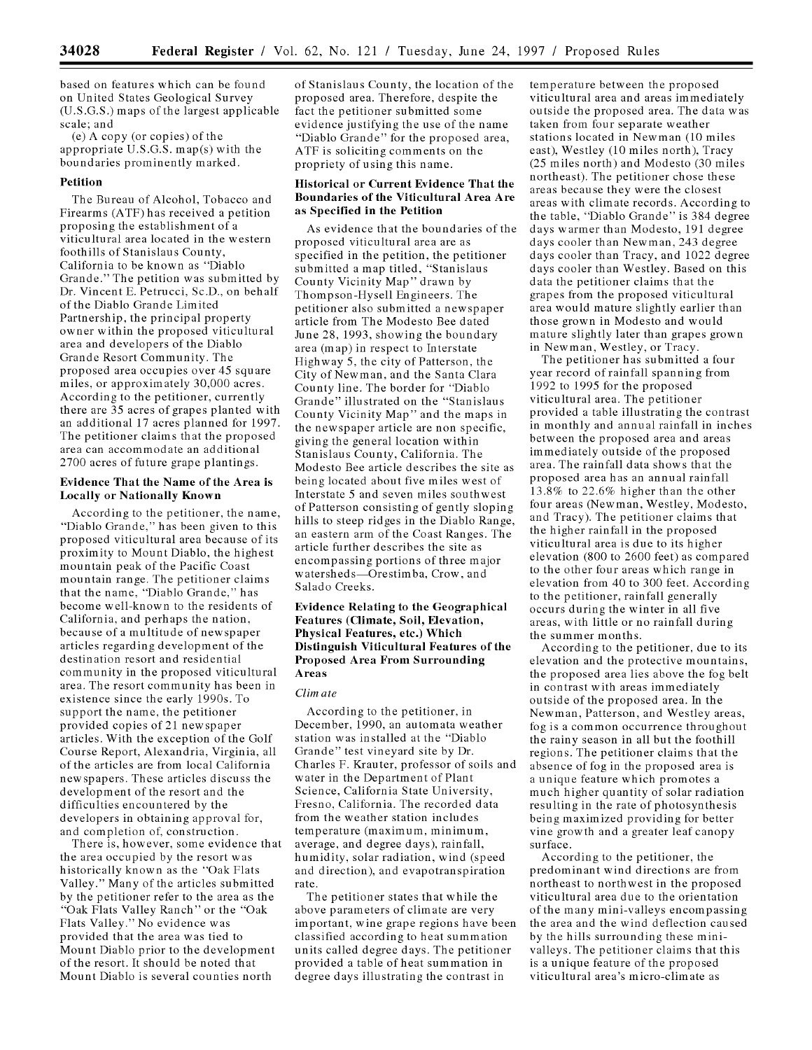based on features which can be found on United States Geological Survey (U.S.G.S.) maps of the largest applicable scale; and

(e) A copy (or copies) of the appropriate U.S.G.S. map(s) with the boundaries prominently marked.

# **Petition**

The Bureau of Alcohol, Tobacco and Firearms (ATF) has received a petition proposing the establishment of a viticultural area located in the western foothills of Stanislaus County, California to be known as "Diablo Grande." The petition was submitted by Dr. Vincent E. Petrucci, Sc.D., on behalf of the Diablo Grande Limited Partnership, the principal property owner within the proposed viticultural area and developers of the Diablo Grande Resort Community. The proposed area occupies over 45 square miles, or approximately 30,000 acres. According to the petitioner, currently there are 35 acres of grapes planted with an additional 17 acres planned for 1997. The petitioner claims that the proposed area can accommodate an additional 2700 acres of future grape plantings.

### **Evidence That the Name of the Area is Locally or Nationally Known**

According to the petitioner, the name, "Diablo Grande," has been given to this proposed viticultural area because of its proximity to Mount Diablo, the highest mountain peak of the Pacific Coast mountain range. The petitioner claims that the name, "Diablo Grande," has become well-known to the residents of California, and perhaps the nation, because of a multitude of newspaper articles regarding development of the destination resort and residential community in the proposed viticultural area. The resort community has been in existence since the early 1990s. To support the name, the petitioner provided copies of 21 newspaper articles. With the exception of the Golf Course Report, Alexandria, Virginia, all of the articles are from local California newspapers. These articles discuss the development of the resort and the difficulties encountered by the developers in obtaining approval for, and completion of, construction.

There is, however, some evidence that the area occupied by the resort was historically known as the "Oak Flats Valley." Many of the articles submitted by the petitioner refer to the area as the "Oak Flats Valley Ranch" or the "Oak Flats Valley." No evidence was provided that the area was tied to Mount Diablo prior to the development of the resort. It should be noted that Mount Diablo is several counties north

of Stanislaus County, the location of the proposed area. Therefore, despite the fact the petitioner submitted some evidence justifying the use of the name "Diablo Grande" for the proposed area, ATF is soliciting comments on the propriety of using this name.

## **Historical or Current Evidence That the Boundaries of the Viticultural Area Are as Specified in the Petition**

As evidence that the boundaries of the proposed viticultural area are as specified in the petition, the petitioner submitted a map titled, "Stanislaus County Vicinity Map" drawn by Thompson-Hysell Engineers. The petitioner also submitted a newspaper article from The Modesto Bee dated June 28, 1993, showing the boundary area (map) in respect to Interstate Highway 5, the city of Patterson, the City of Newman, and the Santa Clara County line. The border for "Diablo Grande" illustrated on the "Stanislaus County Vicinity Map" and the maps in the newspaper article are non specific, giving the general location within Stanislaus County, California. The Modesto Bee article describes the site as being located about five miles west of Interstate 5 and seven miles southwest of Patterson consisting of gently sloping hills to steep ridges in the Diablo Range, an eastern arm of the Coast Ranges. The article further describes the site as encompassing portions of three major watersheds-Orestimba, Crow, and Salado Creeks.

# **Evidence Relating to the Geographical Features (Climate, Soil, Elevation, Physical Features, etc.) Which Distinguish Viticultural Features of the Proposed Area From Surrounding Areas**

#### Clim ate

According to the petitioner, in December, 1990, an automata weather station was installed at the "Diablo Grande" test vineyard site by Dr. Charles F. Krauter, professor of soils and water in the Department of Plant Science, California State University, Fresno, California. The recorded data from the weather station includes temperature (maximum, minimum, average, and degree days), rainfall, humidity, solar radiation, wind (speed and direction), and evapotranspiration rate.

The petitioner states that while the above parameters of climate are very important, wine grape regions have been classified according to heat summation units called degree days. The petitioner provided a table of heat summation in degree days illustrating the contrast in

temperature between the proposed viticultural area and areas immediately outside the proposed area. The data was taken from four separate weather stations located in Newman (10 miles east), Westley (10 miles north), Tracy (25 miles north) and Modesto (30 miles northeast). The petitioner chose these areas because they were the closest areas with climate records. According to the table, "Diablo Grande" is 384 degree days warmer than Modesto, 191 degree days cooler than Newman, 243 degree days cooler than Tracy, and 1022 degree days cooler than Westley. Based on this data the petitioner claims that the grapes from the proposed viticultural area would mature slightly earlier than those grown in Modesto and would mature slightly later than grapes grown in Newman, Westley, or Tracy.

The petitioner has submitted a four year record of rainfall spanning from 1992 to 1995 for the proposed viticultural area. The petitioner provided a table illustrating the contrast in monthly and annual rainfall in inches between the proposed area and areas immediately outside of the proposed area. The rainfall data shows that the proposed area has an annual rainfall 13.8% to 22.6% higher than the other four areas (Newman, Westley, Modesto, and Tracy). The petitioner claims that the higher rainfall in the proposed viticultural area is due to its higher elevation (800 to 2600 feet) as compared to the other four areas which range in elevation from 40 to 300 feet. According to the petitioner, rainfall generally occurs during the winter in all five areas, with little or no rainfall during the summer months.

According to the petitioner, due to its elevation and the protective mountains, the proposed area lies above the fog belt in contrast with areas immediately outside of the proposed area. In the Newman, Patterson, and Westley areas, fog is a common occurrence throughout the rainy season in all but the foothill regions. The petitioner claims that the absence of fog in the proposed area is a unique feature which promotes a much higher quantity of solar radiation resulting in the rate of photosynthesis being maximized providing for better vine growth and a greater leaf canopy surface.

According to the petitioner, the predominant wind directions are from northeast to northwest in the proposed viticultural area due to the orientation of the many mini-valleys encompassing the area and the wind deflection caused by the hills surrounding these minivalleys. The petitioner claims that this is a unique feature of the proposed viticultural area's micro-climate as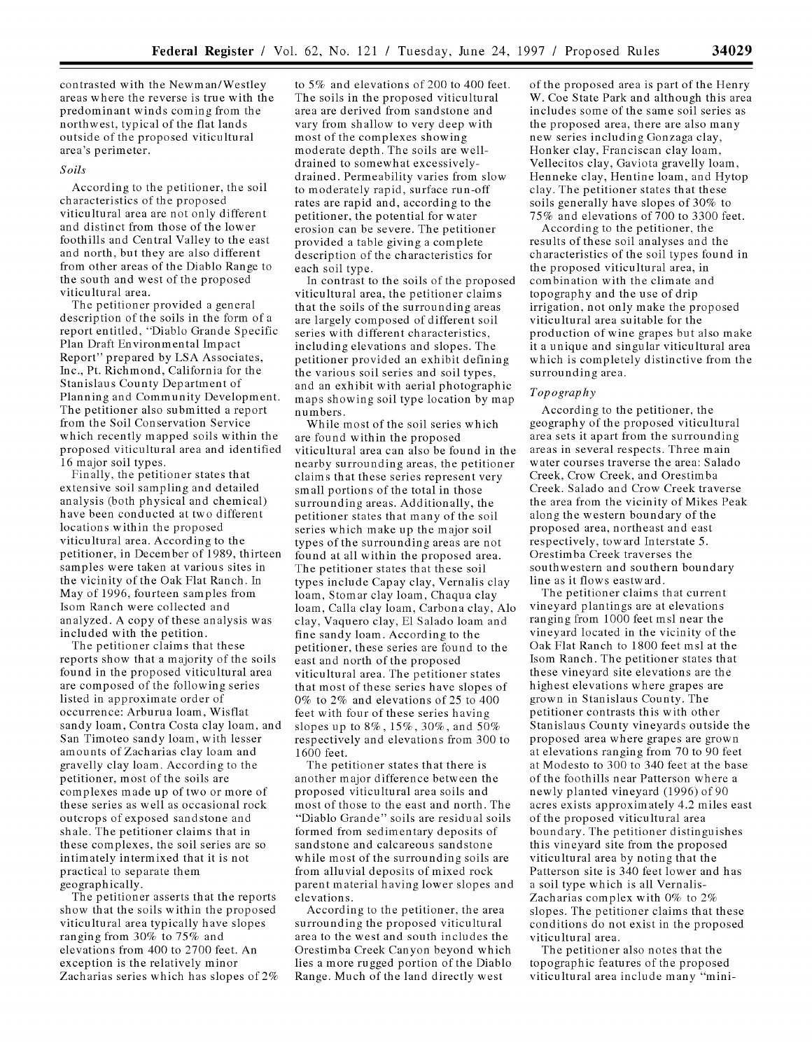contrasted with the Newman/Westley areas where the reverse is true with the predominant winds coming from the northwest, typical of the flat lands outside of the proposed viticultural area's perimeter.

#### *Soils*

According to the petitioner, the soil characteristics of the proposed viticultural area are not only different and distinct from those of the lower foothills and Central Valley to the east and north, but they are also different from other areas of the Diablo Range to the south and west of the proposed viticultural area.

The petitioner provided a general description of the soils in the form of a report entitled, "Diablo Grande Specific Plan Draft Environmental Impact Report" prepared by LSA Associates, Inc., Pt. Richmond, California for the Stanislaus County Department of Planning and Community Development. The petitioner also submitted a report from the Soil Conservation Service which recently mapped soils within the proposed viticultural area and identified 16 major soil types.

Finally, the petitioner states that extensive soil sampling and detailed analysis (both physical and chemical) have been conducted at two different locations within the proposed viticultural area. According to the petitioner, in December of 1989, thirteen samples were taken at various sites in the vicinity of the Oak Flat Ranch. In May of 1996, fourteen samples from Isom Ranch were collected and analyzed. A copy of these analysis was included with the petition.

The petitioner claims that these reports show that a majority of the soils found in the proposed viticultural area are composed of the following series listed in approximate order of occurrence: Arburua loam, Wisflat sandy loam, Contra Costa clay loam, and San Timoteo sandy loam, with lesser amounts of Zacharias clay loam and gravelly clay loam. According to the petitioner, most of the soils are complexes made up of two or more of these series as well as occasional rock outcrops of exposed sandstone and shale. The petitioner claims that in these complexes, the soil series are so intimately intermixed that it is not practical to separate them geographically.

The petitioner asserts that the reports show that the soils within the proposed viticultural area typically have slopes ranging from 30% to 75% and elevations from 400 to 2700 feet. An exception is the relatively minor Zacharias series which has slopes of 2% to 5% and elevations of 200 to 400 feet. The soils in the proposed viticultural area are derived from sandstone and vary from shallow to very deep with most of the complexes showing moderate depth. The soils are welldrained to somewhat excessivelydrained. Permeability varies from slow to moderately rapid, surface run-off rates are rapid and, according to the petitioner, the potential for water erosion can be severe. The petitioner provided a table giving a complete description of the characteristics for each soil type.

In contrast to the soils of the proposed viticultural area, the petitioner claims that the soils of the surrounding areas are largely composed of different soil series with different characteristics, including elevations and slopes. The petitioner provided an exhibit defining the various soil series and soil types, and an exhibit with aerial photographic maps showing soil type location by map numbers.

While most of the soil series which are found within the proposed viticultural area can also be found in the nearby surrounding areas, the petitioner claims that these series represent very small portions of the total in those surrounding areas. Additionally, the petitioner states that many of the soil series which make up the major soil types of the surrounding areas are not found at all within the proposed area. The petitioner states that these soil types include Capay clay, Vernalis clay loam, Stomar clay loam, Chaqua clay loam, Calla clay loam, Carbona clay, Alo clay, Vaquero clay, **El** Salado loam and fine sandy loam. According to the petitioner, these series are found to the east and north of the proposed viticultural area. The petitioner states that most of these series have slopes of 0% to 2% and elevations of 25 to 400 feet with four of these series having slopes up to 8%, 15%, 30%, and 50% respectively and elevations from 300 to 1600 feet.

The petitioner states that there is another major difference between the proposed viticultural area soils and most of those to the east and north. The "Diablo Grande" soils are residual soils formed from sedimentary deposits of sandstone and calcareous sandstone while most of the surrounding soils are from alluvial deposits of mixed rock parent material having lower slopes and elevations.

According to the petitioner, the area surrounding the proposed viticultural area to the west and south includes the Orestimba Creek Canyon beyond which lies a more rugged portion of the Diablo Range. Much of the land directly west

of the proposed area is part of the Henry W. Coe State Park and although this area includes some of the same soil series as the proposed area, there are also many new series including Gonzaga clay, Honker clay, Franciscan clay loam, Vellecitos clay, Gaviota gravelly loam, Henneke clay, Hentine loam, and Hytop clay. The petitioner states that these soils generally have slopes of 30% to 75% and elevations of 700 to 3300 feet.

According to the petitioner, the results of these soil analyses and the characteristics of the soil types found in the proposed viticultural area, in combination with the climate and topography and the use of drip irrigation, not only make the proposed viticultural area suitable for the production of wine grapes but also make it a unique and singular viticultural area which is completely distinctive from the surrounding area.

## *Topography*

According to the petitioner, the geography of the proposed viticultural area sets it apart from the surrounding areas in several respects. Three main water courses traverse the area: Salado Creek, Crow Creek, and Orestimba Creek. Salado and Crow Creek traverse the area from the vicinity of Mikes Peak along the western boundary of the proposed area, northeast and east respectively, toward Interstate 5. Orestimba Creek traverses the southwestern and southern boundary line as it flows eastward.

The petitioner claims that current vineyard plantings are at elevations ranging from 1000 feet msl near the vineyard located in the vicinity of the Oak Flat Ranch to 1800 feet msl at the Isom Ranch. The petitioner states that these vineyard site elevations are the highest elevations where grapes are grown in Stanislaus County. The petitioner contrasts this with other Stanislaus County vineyards outside the proposed area where grapes are grown at elevations ranging from 70 to 90 feet at Modesto to 300 to 340 feet at the base of the foothills near Patterson where a newly planted vineyard (1996) of 90 acres exists approximately 4.2 miles east of the proposed viticultural area boundary. The petitioner distinguishes this vineyard site from the proposed viticultural area by noting that the Patterson site is 340 feet lower and has a soil type which is all Vernalis-Zacharias complex with 0% to 2% slopes. The petitioner claims that these conditions do not exist in the proposed viticultural area.

The petitioner also notes that the topographic features of the proposed viticultural area include many "mini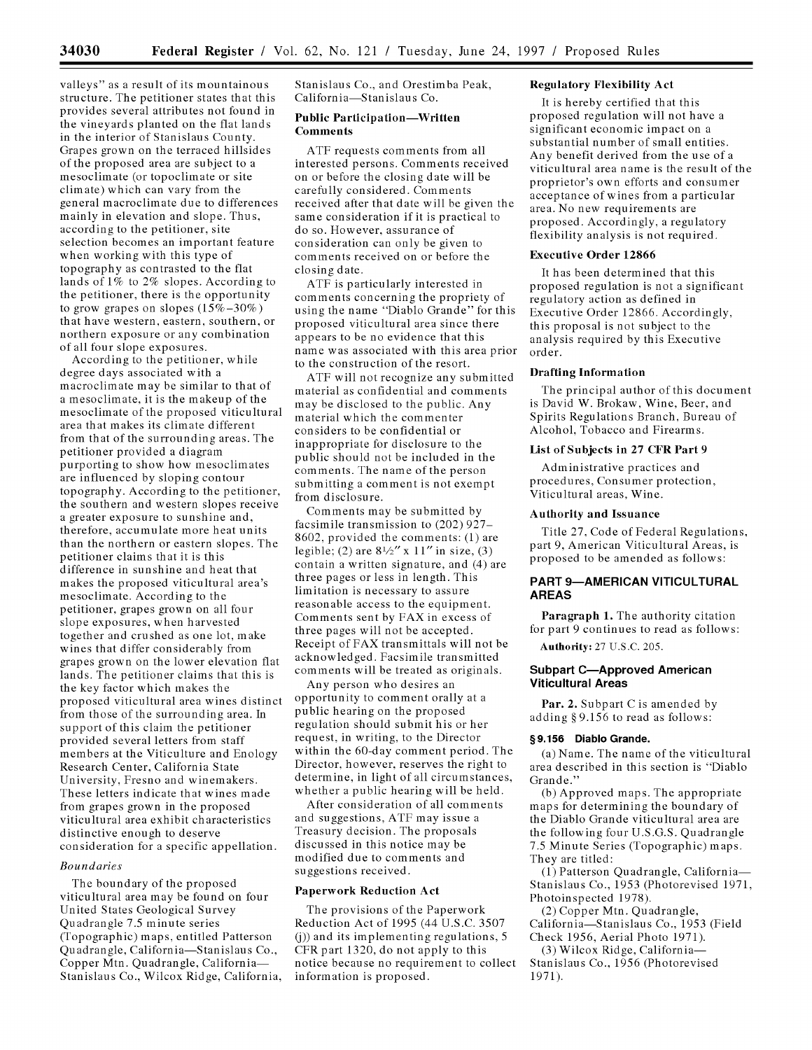valleys" as a result of its mountainous structure. The petitioner states that this provides several attributes not found in the vineyards planted on the flat lands in the interior of Stanislaus County. Grapes grown on the terraced hillsides of the proposed area are subject to a mesoclimate (or topoclimate or site climate) which can vary from the general macroclimate due to differences mainly in elevation and slope. Thus, according to the petitioner, site selection becomes an important feature when working with this type of topography as contrasted to the flat lands of 1% to 2% slopes. According to the petitioner, there is the opportunity to grow grapes on slopes  $(15\% - 30\%)$ that have western, eastern, southern, or northern exposure or any combination of all four slope exposures.

According to the petitioner, while degree days associated with a macroclimate may be similar to that of a mesoclimate, it is the makeup of the mesoclimate of the proposed viticultural area that makes its climate different from that of the surrounding areas. The petitioner provided a diagram purporting to show how mesoclimates are influenced by sloping contour topography. According to the petitioner, the southern and western slopes receive a greater exposure to sunshine and, therefore, accumulate more heat units than the northern or eastern slopes. The petitioner claims that it is this difference in sunshine and heat that makes the proposed viticultural area's mesoclimate. According to the petitioner, grapes grown on all four slope exposures, when harvested together and crushed as one lot, make wines that differ considerably from grapes grown on the lower elevation flat lands. The petitioner claims that this is the key factor which makes the proposed viticultural area wines distinct from those of the surrounding area. In support of this claim the petitioner provided several letters from staff members at the Viticulture and Enology Research Center, California State University, Fresno and winemakers. These letters indicate that wines made from grapes grown in the proposed viticultural area exhibit characteristics distinctive enough to deserve consideration for a specific appellation.

## *Boundaries*

The boundary of the proposed viticultural area may be found on four United States Geological Survey Quadrangle 7.5 minute series (Topographic) maps, entitled Patterson Quadrangle, California-Stanislaus Co., Copper Mtn. Quadrangle, California-Stanislaus Co., Wilcox Ridge, California, Stanislaus Co., and Orestimba Peak, California-Stanislaus Co.

# **Public Participation-Written Comments**

**ATF** requests comments from all interested persons. Comments received on or before the closing date will be carefully considered. Comments received after that date will be given the same consideration if it is practical to do so. However, assurance of consideration can only be given to comments received on or before the closing date.

**ATF** is particularly interested in comments concerning the propriety of using the name "Diablo Grande" for this proposed viticultural area since there appears to be no evidence that this name was associated with this area prior to the construction of the resort.

ATF will not recognize any submitted material as confidential and comments may be disclosed to the public. Any material which the commenter considers to be confidential or inappropriate for disclosure to the public should not be included in the comments. The name of the person submitting a comment is not exempt from disclosure.

Comments may be submitted by facsimile transmission to (202) 927- 8602, provided the comments: (1) are legible; (2) are *81/2"* x *11"* in size, (3) contain a written signature, and (4) are three pages or less in length. This limitation is necessary to assure reasonable access to the equipment. Comments sent by FAX in excess of three pages will not be accepted. Receipt of FAX transmittals will not be acknowledged. Facsimile transmitted comments will be treated as originals.

Any person who desires an opportunity to comment orally at a public hearing on the proposed regulation should submit his or her request, in writing, to the Director within the 60-day comment period. The Director, however, reserves the right to determine, in light of all circumstances, whether a public hearing will be held.

After consideration of all comments and suggestions, ATF may issue a Treasury decision. The proposals discussed in this notice may be modified due to comments and suggestions received.

### **Paperwork Reduction Act**

The provisions of the Paperwork Reduction Act of 1995 (44 U.S.C. **3507 (j))** and its implementing regulations, 5 CFR part 1320, do not apply to this notice because no requirement to collect information is proposed.

# **Regulatory Flexibility Act**

It is hereby certified that this proposed regulation will not have a significant economic impact on a substantial number of small entities. Any benefit derived from the use of a viticultural area name is the result of the proprietor's own efforts and consumer acceptance of wines from a particular area. No new requirements are proposed. Accordingly, a regulatory flexibility analysis is not required.

### **Executive Order 12866**

It has been determined that this proposed regulation is not a significant regulatory action as defined in Executive Order 12866. Accordingly, this proposal is not subject to the analysis required by this Executive order.

### **Drafting Information**

The principal author of this document is David W. Brokaw, Wine, Beer, and Spirits Regulations Branch, Bureau of Alcohol, Tobacco and Firearms.

### List of Subjects in **27 CFR Part 9**

Administrative practices and procedures, Consumer protection, Viticultural areas, Wine.

### **Authority and Issuance**

Title 27, Code of Federal Regulations, part 9, American Viticultural Areas, is proposed to be amended as follows:

# **PART 9-AMERICAN VITICULTURAL AREAS**

**Paragraph 1.** The authority citation for part 9 continues to read as follows: Authority: 27 U.S.C. 205.

# **Subpart C-Approved American Viticultural Areas**

**Par. 2.** Subpart **C** is amended by adding **§** 9.156 to read as follows:

#### **§9.156 Diablo Grande.**

(a) Name. The name of the viticultural area described in this section is "Diablo Grande."

(b) Approved maps. The appropriate maps for determining the boundary of the Diablo Grande viticultural area are the following four U.S.G.S. Quadrangle 7.5 Minute Series (Topographic) maps. They are titled:

(1) Patterson Quadrangle, California-Stanislaus Co., 1953 (Photorevised 1971, Photoinspected 1978).

(2) Copper Mtn. Quadrangle, California-Stanislaus Co., 1953 (Field Check 1956, Aerial Photo 1971).

(3) Wilcox Ridge, California-Stanislaus Co., 1956 (Photorevised 1971).